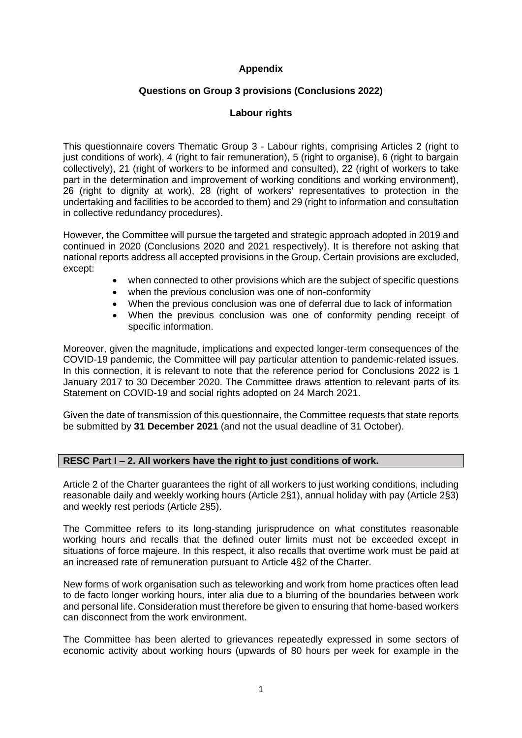# **Appendix**

# **Questions on Group 3 provisions (Conclusions 2022)**

# **Labour rights**

This questionnaire covers Thematic Group 3 - Labour rights, comprising Articles 2 (right to just conditions of work), 4 (right to fair remuneration), 5 (right to organise), 6 (right to bargain collectively), 21 (right of workers to be informed and consulted), 22 (right of workers to take part in the determination and improvement of working conditions and working environment), 26 (right to dignity at work), 28 (right of workers' representatives to protection in the undertaking and facilities to be accorded to them) and 29 (right to information and consultation in collective redundancy procedures).

However, the Committee will pursue the targeted and strategic approach adopted in 2019 and continued in 2020 (Conclusions 2020 and 2021 respectively). It is therefore not asking that national reports address all accepted provisions in the Group. Certain provisions are excluded, except:

- when connected to other provisions which are the subject of specific questions
- when the previous conclusion was one of non-conformity
- When the previous conclusion was one of deferral due to lack of information
- When the previous conclusion was one of conformity pending receipt of specific information.

Moreover, given the magnitude, implications and expected longer-term consequences of the COVID-19 pandemic, the Committee will pay particular attention to pandemic-related issues. In this connection, it is relevant to note that the reference period for Conclusions 2022 is 1 January 2017 to 30 December 2020. The Committee draws attention to relevant parts of its Statement on COVID-19 and social rights adopted on 24 March 2021.

Given the date of transmission of this questionnaire, the Committee requests that state reports be submitted by **31 December 2021** (and not the usual deadline of 31 October).

# **RESC Part I – 2. All workers have the right to just conditions of work.**

Article 2 of the Charter guarantees the right of all workers to just working conditions, including reasonable daily and weekly working hours (Article 2§1), annual holiday with pay (Article 2§3) and weekly rest periods (Article 2§5).

The Committee refers to its long-standing jurisprudence on what constitutes reasonable working hours and recalls that the defined outer limits must not be exceeded except in situations of force majeure. In this respect, it also recalls that overtime work must be paid at an increased rate of remuneration pursuant to Article 4§2 of the Charter.

New forms of work organisation such as teleworking and work from home practices often lead to de facto longer working hours, inter alia due to a blurring of the boundaries between work and personal life. Consideration must therefore be given to ensuring that home-based workers can disconnect from the work environment.

The Committee has been alerted to grievances repeatedly expressed in some sectors of economic activity about working hours (upwards of 80 hours per week for example in the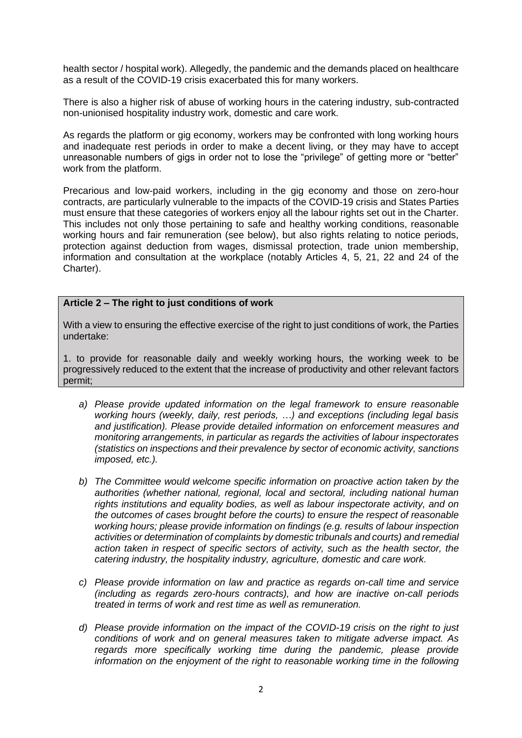health sector / hospital work). Allegedly, the pandemic and the demands placed on healthcare as a result of the COVID-19 crisis exacerbated this for many workers.

There is also a higher risk of abuse of working hours in the catering industry, sub-contracted non-unionised hospitality industry work, domestic and care work.

As regards the platform or gig economy, workers may be confronted with long working hours and inadequate rest periods in order to make a decent living, or they may have to accept unreasonable numbers of gigs in order not to lose the "privilege" of getting more or "better" work from the platform.

Precarious and low-paid workers, including in the gig economy and those on zero-hour contracts, are particularly vulnerable to the impacts of the COVID-19 crisis and States Parties must ensure that these categories of workers enjoy all the labour rights set out in the Charter. This includes not only those pertaining to safe and healthy working conditions, reasonable working hours and fair remuneration (see below), but also rights relating to notice periods, protection against deduction from wages, dismissal protection, trade union membership, information and consultation at the workplace (notably Articles 4, 5, 21, 22 and 24 of the Charter).

### **Article 2 – The right to just conditions of work**

With a view to ensuring the effective exercise of the right to just conditions of work, the Parties undertake:

1. to provide for reasonable daily and weekly working hours, the working week to be progressively reduced to the extent that the increase of productivity and other relevant factors permit;

- *a) Please provide updated information on the legal framework to ensure reasonable working hours (weekly, daily, rest periods, …) and exceptions (including legal basis and justification). Please provide detailed information on enforcement measures and monitoring arrangements, in particular as regards the activities of labour inspectorates (statistics on inspections and their prevalence by sector of economic activity, sanctions imposed, etc.).*
- *b) The Committee would welcome specific information on proactive action taken by the authorities (whether national, regional, local and sectoral, including national human rights institutions and equality bodies, as well as labour inspectorate activity, and on the outcomes of cases brought before the courts) to ensure the respect of reasonable working hours; please provide information on findings (e.g. results of labour inspection activities or determination of complaints by domestic tribunals and courts) and remedial action taken in respect of specific sectors of activity, such as the health sector, the catering industry, the hospitality industry, agriculture, domestic and care work.*
- *c) Please provide information on law and practice as regards on-call time and service (including as regards zero-hours contracts), and how are inactive on-call periods treated in terms of work and rest time as well as remuneration.*
- *d) Please provide information on the impact of the COVID-19 crisis on the right to just conditions of work and on general measures taken to mitigate adverse impact. As regards more specifically working time during the pandemic, please provide information on the enjoyment of the right to reasonable working time in the following*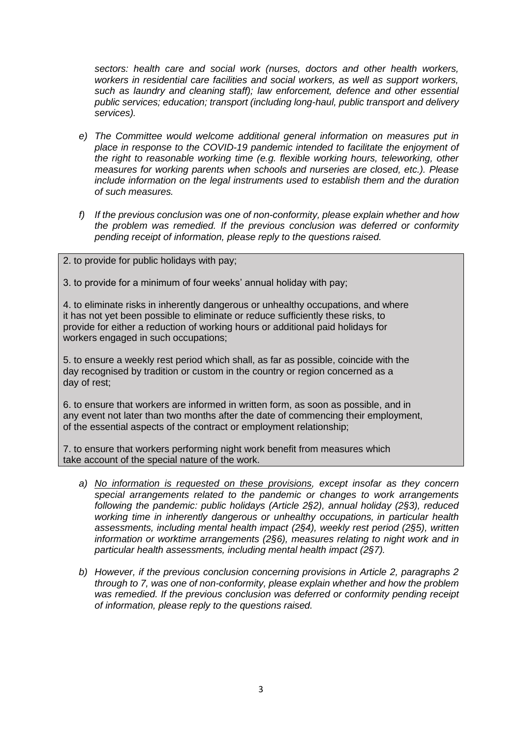*sectors: health care and social work (nurses, doctors and other health workers, workers in residential care facilities and social workers, as well as support workers, such as laundry and cleaning staff); law enforcement, defence and other essential public services; education; transport (including long-haul, public transport and delivery services).*

- *e) The Committee would welcome additional general information on measures put in place in response to the COVID-19 pandemic intended to facilitate the enjoyment of the right to reasonable working time (e.g. flexible working hours, teleworking, other measures for working parents when schools and nurseries are closed, etc.). Please include information on the legal instruments used to establish them and the duration of such measures.*
- *f) If the previous conclusion was one of non-conformity, please explain whether and how the problem was remedied. If the previous conclusion was deferred or conformity pending receipt of information, please reply to the questions raised.*
- 2. to provide for public holidays with pay;

3. to provide for a minimum of four weeks' annual holiday with pay;

4. to eliminate risks in inherently dangerous or unhealthy occupations, and where it has not yet been possible to eliminate or reduce sufficiently these risks, to provide for either a reduction of working hours or additional paid holidays for workers engaged in such occupations;

5. to ensure a weekly rest period which shall, as far as possible, coincide with the day recognised by tradition or custom in the country or region concerned as a day of rest;

6. to ensure that workers are informed in written form, as soon as possible, and in any event not later than two months after the date of commencing their employment, of the essential aspects of the contract or employment relationship;

7. to ensure that workers performing night work benefit from measures which take account of the special nature of the work.

- *a) No information is requested on these provisions, except insofar as they concern special arrangements related to the pandemic or changes to work arrangements following the pandemic: public holidays (Article 2§2), annual holiday (2§3), reduced working time in inherently dangerous or unhealthy occupations, in particular health assessments, including mental health impact (2§4), weekly rest period (2§5), written information or worktime arrangements (2§6), measures relating to night work and in particular health assessments, including mental health impact (2§7).*
- *b) However, if the previous conclusion concerning provisions in Article 2, paragraphs 2 through to 7, was one of non-conformity, please explain whether and how the problem was remedied. If the previous conclusion was deferred or conformity pending receipt of information, please reply to the questions raised.*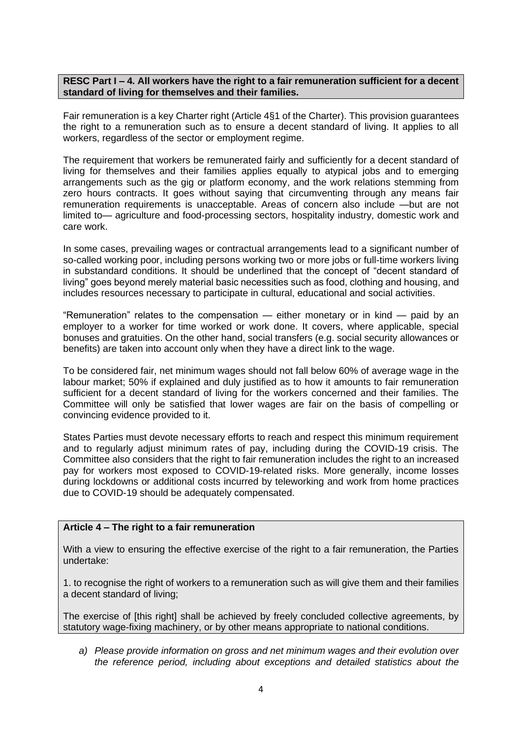### **RESC Part I – 4. All workers have the right to a fair remuneration sufficient for a decent standard of living for themselves and their families.**

Fair remuneration is a key Charter right (Article 4§1 of the Charter). This provision guarantees the right to a remuneration such as to ensure a decent standard of living. It applies to all workers, regardless of the sector or employment regime.

The requirement that workers be remunerated fairly and sufficiently for a decent standard of living for themselves and their families applies equally to atypical jobs and to emerging arrangements such as the gig or platform economy, and the work relations stemming from zero hours contracts. It goes without saying that circumventing through any means fair remuneration requirements is unacceptable. Areas of concern also include —but are not limited to— agriculture and food-processing sectors, hospitality industry, domestic work and care work.

In some cases, prevailing wages or contractual arrangements lead to a significant number of so-called working poor, including persons working two or more jobs or full-time workers living in substandard conditions. It should be underlined that the concept of "decent standard of living" goes beyond merely material basic necessities such as food, clothing and housing, and includes resources necessary to participate in cultural, educational and social activities.

"Remuneration" relates to the compensation — either monetary or in kind — paid by an employer to a worker for time worked or work done. It covers, where applicable, special bonuses and gratuities. On the other hand, social transfers (e.g. social security allowances or benefits) are taken into account only when they have a direct link to the wage.

To be considered fair, net minimum wages should not fall below 60% of average wage in the labour market; 50% if explained and duly justified as to how it amounts to fair remuneration sufficient for a decent standard of living for the workers concerned and their families. The Committee will only be satisfied that lower wages are fair on the basis of compelling or convincing evidence provided to it.

States Parties must devote necessary efforts to reach and respect this minimum requirement and to regularly adjust minimum rates of pay, including during the COVID-19 crisis. The Committee also considers that the right to fair remuneration includes the right to an increased pay for workers most exposed to COVID-19-related risks. More generally, income losses during lockdowns or additional costs incurred by teleworking and work from home practices due to COVID-19 should be adequately compensated.

# **Article 4 – The right to a fair remuneration**

With a view to ensuring the effective exercise of the right to a fair remuneration, the Parties undertake:

1. to recognise the right of workers to a remuneration such as will give them and their families a decent standard of living;

The exercise of [this right] shall be achieved by freely concluded collective agreements, by statutory wage-fixing machinery, or by other means appropriate to national conditions.

*a) Please provide information on gross and net minimum wages and their evolution over the reference period, including about exceptions and detailed statistics about the*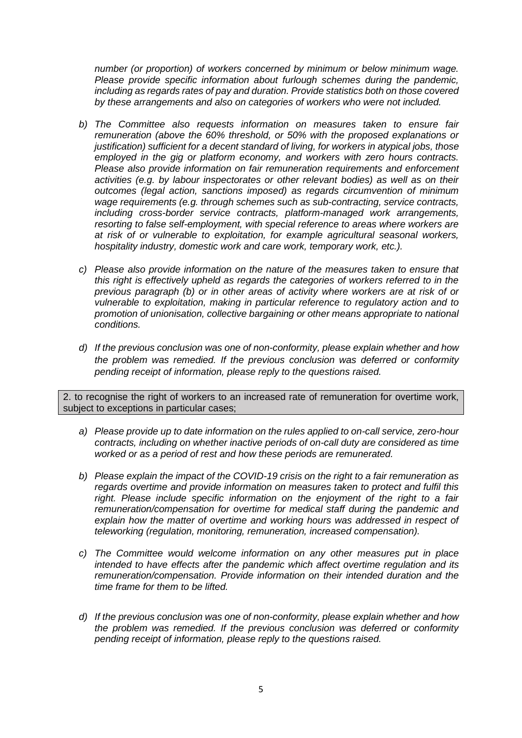*number (or proportion) of workers concerned by minimum or below minimum wage. Please provide specific information about furlough schemes during the pandemic, including as regards rates of pay and duration. Provide statistics both on those covered by these arrangements and also on categories of workers who were not included.* 

- *b) The Committee also requests information on measures taken to ensure fair remuneration (above the 60% threshold, or 50% with the proposed explanations or justification) sufficient for a decent standard of living, for workers in atypical jobs, those employed in the gig or platform economy, and workers with zero hours contracts. Please also provide information on fair remuneration requirements and enforcement activities (e.g. by labour inspectorates or other relevant bodies) as well as on their outcomes (legal action, sanctions imposed) as regards circumvention of minimum wage requirements (e.g. through schemes such as sub-contracting, service contracts, including cross-border service contracts, platform-managed work arrangements, resorting to false self-employment, with special reference to areas where workers are at risk of or vulnerable to exploitation, for example agricultural seasonal workers, hospitality industry, domestic work and care work, temporary work, etc.).*
- *c) Please also provide information on the nature of the measures taken to ensure that this right is effectively upheld as regards the categories of workers referred to in the previous paragraph (b) or in other areas of activity where workers are at risk of or vulnerable to exploitation, making in particular reference to regulatory action and to promotion of unionisation, collective bargaining or other means appropriate to national conditions.*
- *d) If the previous conclusion was one of non-conformity, please explain whether and how the problem was remedied. If the previous conclusion was deferred or conformity pending receipt of information, please reply to the questions raised.*

2. to recognise the right of workers to an increased rate of remuneration for overtime work, subject to exceptions in particular cases;

- *a) Please provide up to date information on the rules applied to on-call service, zero-hour contracts, including on whether inactive periods of on-call duty are considered as time worked or as a period of rest and how these periods are remunerated.*
- *b) Please explain the impact of the COVID-19 crisis on the right to a fair remuneration as regards overtime and provide information on measures taken to protect and fulfil this right. Please include specific information on the enjoyment of the right to a fair remuneration/compensation for overtime for medical staff during the pandemic and explain how the matter of overtime and working hours was addressed in respect of teleworking (regulation, monitoring, remuneration, increased compensation).*
- *c) The Committee would welcome information on any other measures put in place intended to have effects after the pandemic which affect overtime regulation and its remuneration/compensation. Provide information on their intended duration and the time frame for them to be lifted.*
- *d) If the previous conclusion was one of non-conformity, please explain whether and how the problem was remedied. If the previous conclusion was deferred or conformity pending receipt of information, please reply to the questions raised.*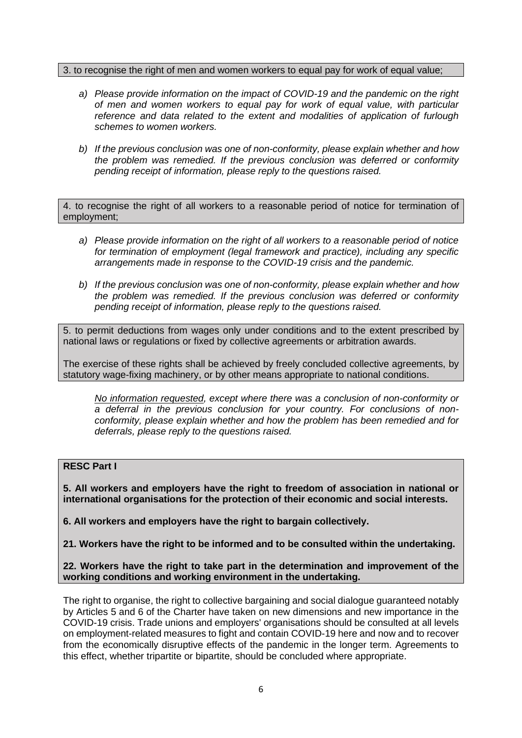#### 3. to recognise the right of men and women workers to equal pay for work of equal value;

- *a) Please provide information on the impact of COVID-19 and the pandemic on the right of men and women workers to equal pay for work of equal value, with particular reference and data related to the extent and modalities of application of furlough schemes to women workers.*
- *b) If the previous conclusion was one of non-conformity, please explain whether and how the problem was remedied. If the previous conclusion was deferred or conformity pending receipt of information, please reply to the questions raised.*

4. to recognise the right of all workers to a reasonable period of notice for termination of employment;

- *a) Please provide information on the right of all workers to a reasonable period of notice for termination of employment (legal framework and practice), including any specific arrangements made in response to the COVID-19 crisis and the pandemic.*
- *b) If the previous conclusion was one of non-conformity, please explain whether and how the problem was remedied. If the previous conclusion was deferred or conformity pending receipt of information, please reply to the questions raised.*

5. to permit deductions from wages only under conditions and to the extent prescribed by national laws or regulations or fixed by collective agreements or arbitration awards.

The exercise of these rights shall be achieved by freely concluded collective agreements, by statutory wage-fixing machinery, or by other means appropriate to national conditions.

*No information requested, except where there was a conclusion of non-conformity or a deferral in the previous conclusion for your country. For conclusions of nonconformity, please explain whether and how the problem has been remedied and for deferrals, please reply to the questions raised.*

# **RESC Part I**

**5. All workers and employers have the right to freedom of association in national or international organisations for the protection of their economic and social interests.**

**6. All workers and employers have the right to bargain collectively.**

**21. Workers have the right to be informed and to be consulted within the undertaking.**

**22. Workers have the right to take part in the determination and improvement of the working conditions and working environment in the undertaking.**

The right to organise, the right to collective bargaining and social dialogue guaranteed notably by Articles 5 and 6 of the Charter have taken on new dimensions and new importance in the COVID-19 crisis. Trade unions and employers' organisations should be consulted at all levels on employment-related measures to fight and contain COVID-19 here and now and to recover from the economically disruptive effects of the pandemic in the longer term. Agreements to this effect, whether tripartite or bipartite, should be concluded where appropriate.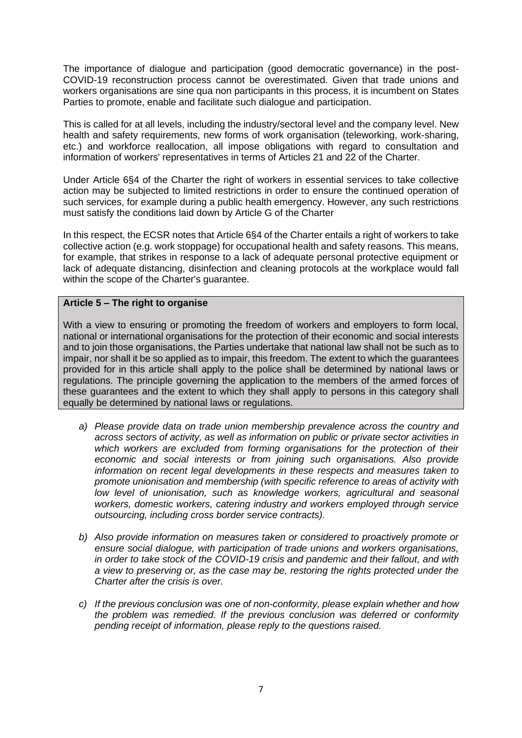The importance of dialogue and participation (good democratic governance) in the post-COVID-19 reconstruction process cannot be overestimated. Given that trade unions and workers organisations are sine qua non participants in this process, it is incumbent on States Parties to promote, enable and facilitate such dialogue and participation.

This is called for at all levels, including the industry/sectoral level and the company level. New health and safety requirements, new forms of work organisation (teleworking, work-sharing, etc.) and workforce reallocation, all impose obligations with regard to consultation and information of workers' representatives in terms of Articles 21 and 22 of the Charter.

Under Article 6§4 of the Charter the right of workers in essential services to take collective action may be subjected to limited restrictions in order to ensure the continued operation of such services, for example during a public health emergency. However, any such restrictions must satisfy the conditions laid down by Article G of the Charter

In this respect, the ECSR notes that Article 6§4 of the Charter entails a right of workers to take collective action (e.g. work stoppage) for occupational health and safety reasons. This means, for example, that strikes in response to a lack of adequate personal protective equipment or lack of adequate distancing, disinfection and cleaning protocols at the workplace would fall within the scope of the Charter's guarantee.

# **Article 5 – The right to organise**

With a view to ensuring or promoting the freedom of workers and employers to form local, national or international organisations for the protection of their economic and social interests and to join those organisations, the Parties undertake that national law shall not be such as to impair, nor shall it be so applied as to impair, this freedom. The extent to which the guarantees provided for in this article shall apply to the police shall be determined by national laws or regulations. The principle governing the application to the members of the armed forces of these guarantees and the extent to which they shall apply to persons in this category shall equally be determined by national laws or regulations.

- *a) Please provide data on trade union membership prevalence across the country and across sectors of activity, as well as information on public or private sector activities in which workers are excluded from forming organisations for the protection of their economic and social interests or from joining such organisations. Also provide information on recent legal developments in these respects and measures taken to promote unionisation and membership (with specific reference to areas of activity with low level of unionisation, such as knowledge workers, agricultural and seasonal workers, domestic workers, catering industry and workers employed through service outsourcing, including cross border service contracts).*
- *b) Also provide information on measures taken or considered to proactively promote or ensure social dialogue, with participation of trade unions and workers organisations, in order to take stock of the COVID-19 crisis and pandemic and their fallout, and with a view to preserving or, as the case may be, restoring the rights protected under the Charter after the crisis is over.*
- *c) If the previous conclusion was one of non-conformity, please explain whether and how the problem was remedied. If the previous conclusion was deferred or conformity pending receipt of information, please reply to the questions raised.*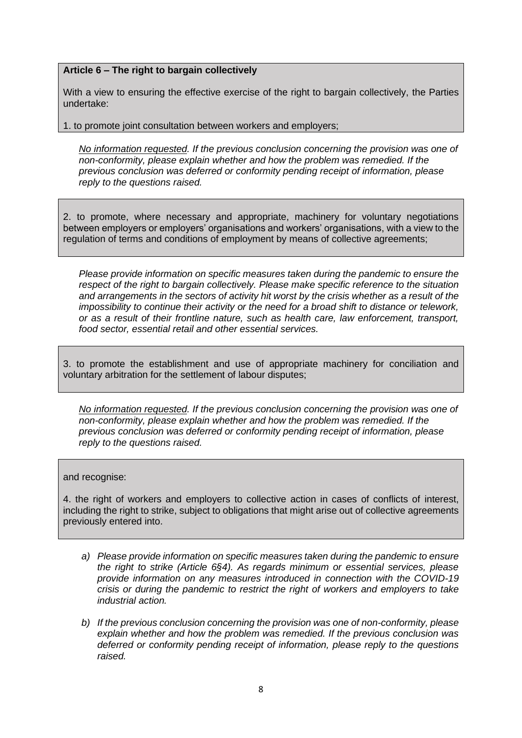# **Article 6 – The right to bargain collectively**

With a view to ensuring the effective exercise of the right to bargain collectively, the Parties undertake:

1. to promote joint consultation between workers and employers;

*No information requested. If the previous conclusion concerning the provision was one of non-conformity, please explain whether and how the problem was remedied. If the previous conclusion was deferred or conformity pending receipt of information, please reply to the questions raised.*

2. to promote, where necessary and appropriate, machinery for voluntary negotiations between employers or employers' organisations and workers' organisations, with a view to the regulation of terms and conditions of employment by means of collective agreements;

*Please provide information on specific measures taken during the pandemic to ensure the respect of the right to bargain collectively. Please make specific reference to the situation and arrangements in the sectors of activity hit worst by the crisis whether as a result of the impossibility to continue their activity or the need for a broad shift to distance or telework, or as a result of their frontline nature, such as health care, law enforcement, transport, food sector, essential retail and other essential services.*

3. to promote the establishment and use of appropriate machinery for conciliation and voluntary arbitration for the settlement of labour disputes;

*No information requested. If the previous conclusion concerning the provision was one of non-conformity, please explain whether and how the problem was remedied. If the previous conclusion was deferred or conformity pending receipt of information, please reply to the questions raised.*

#### and recognise:

4. the right of workers and employers to collective action in cases of conflicts of interest, including the right to strike, subject to obligations that might arise out of collective agreements previously entered into.

- *a) Please provide information on specific measures taken during the pandemic to ensure the right to strike (Article 6§4). As regards minimum or essential services, please provide information on any measures introduced in connection with the COVID-19 crisis or during the pandemic to restrict the right of workers and employers to take industrial action.*
- *b) If the previous conclusion concerning the provision was one of non-conformity, please explain whether and how the problem was remedied. If the previous conclusion was deferred or conformity pending receipt of information, please reply to the questions raised.*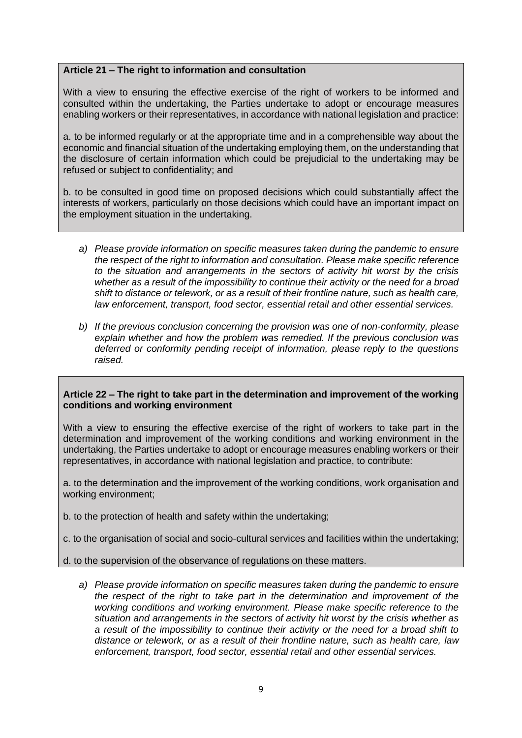# **Article 21 – The right to information and consultation**

With a view to ensuring the effective exercise of the right of workers to be informed and consulted within the undertaking, the Parties undertake to adopt or encourage measures enabling workers or their representatives, in accordance with national legislation and practice:

a. to be informed regularly or at the appropriate time and in a comprehensible way about the economic and financial situation of the undertaking employing them, on the understanding that the disclosure of certain information which could be prejudicial to the undertaking may be refused or subject to confidentiality; and

b. to be consulted in good time on proposed decisions which could substantially affect the interests of workers, particularly on those decisions which could have an important impact on the employment situation in the undertaking.

- *a) Please provide information on specific measures taken during the pandemic to ensure the respect of the right to information and consultation. Please make specific reference to the situation and arrangements in the sectors of activity hit worst by the crisis whether as a result of the impossibility to continue their activity or the need for a broad shift to distance or telework, or as a result of their frontline nature, such as health care, law enforcement, transport, food sector, essential retail and other essential services.*
- *b) If the previous conclusion concerning the provision was one of non-conformity, please explain whether and how the problem was remedied. If the previous conclusion was deferred or conformity pending receipt of information, please reply to the questions raised.*

### **Article 22 – The right to take part in the determination and improvement of the working conditions and working environment**

With a view to ensuring the effective exercise of the right of workers to take part in the determination and improvement of the working conditions and working environment in the undertaking, the Parties undertake to adopt or encourage measures enabling workers or their representatives, in accordance with national legislation and practice, to contribute:

a. to the determination and the improvement of the working conditions, work organisation and working environment;

- b. to the protection of health and safety within the undertaking;
- c. to the organisation of social and socio-cultural services and facilities within the undertaking;

d. to the supervision of the observance of regulations on these matters.

*a) Please provide information on specific measures taken during the pandemic to ensure the respect of the right to take part in the determination and improvement of the working conditions and working environment. Please make specific reference to the situation and arrangements in the sectors of activity hit worst by the crisis whether as a result of the impossibility to continue their activity or the need for a broad shift to distance or telework, or as a result of their frontline nature, such as health care, law enforcement, transport, food sector, essential retail and other essential services.*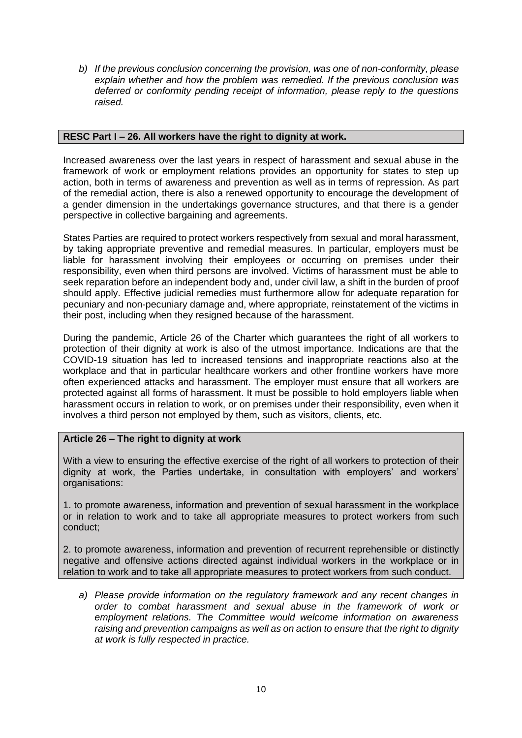*b) If the previous conclusion concerning the provision, was one of non-conformity, please explain whether and how the problem was remedied. If the previous conclusion was deferred or conformity pending receipt of information, please reply to the questions raised.*

# **RESC Part I – 26. All workers have the right to dignity at work.**

Increased awareness over the last years in respect of harassment and sexual abuse in the framework of work or employment relations provides an opportunity for states to step up action, both in terms of awareness and prevention as well as in terms of repression. As part of the remedial action, there is also a renewed opportunity to encourage the development of a gender dimension in the undertakings governance structures, and that there is a gender perspective in collective bargaining and agreements.

States Parties are required to protect workers respectively from sexual and moral harassment, by taking appropriate preventive and remedial measures. In particular, employers must be liable for harassment involving their employees or occurring on premises under their responsibility, even when third persons are involved. Victims of harassment must be able to seek reparation before an independent body and, under civil law, a shift in the burden of proof should apply. Effective judicial remedies must furthermore allow for adequate reparation for pecuniary and non-pecuniary damage and, where appropriate, reinstatement of the victims in their post, including when they resigned because of the harassment.

During the pandemic, Article 26 of the Charter which guarantees the right of all workers to protection of their dignity at work is also of the utmost importance. Indications are that the COVID-19 situation has led to increased tensions and inappropriate reactions also at the workplace and that in particular healthcare workers and other frontline workers have more often experienced attacks and harassment. The employer must ensure that all workers are protected against all forms of harassment. It must be possible to hold employers liable when harassment occurs in relation to work, or on premises under their responsibility, even when it involves a third person not employed by them, such as visitors, clients, etc.

# **Article 26 – The right to dignity at work**

With a view to ensuring the effective exercise of the right of all workers to protection of their dignity at work, the Parties undertake, in consultation with employers' and workers' organisations:

1. to promote awareness, information and prevention of sexual harassment in the workplace or in relation to work and to take all appropriate measures to protect workers from such conduct;

2. to promote awareness, information and prevention of recurrent reprehensible or distinctly negative and offensive actions directed against individual workers in the workplace or in relation to work and to take all appropriate measures to protect workers from such conduct.

*a) Please provide information on the regulatory framework and any recent changes in order to combat harassment and sexual abuse in the framework of work or employment relations. The Committee would welcome information on awareness raising and prevention campaigns as well as on action to ensure that the right to dignity at work is fully respected in practice.*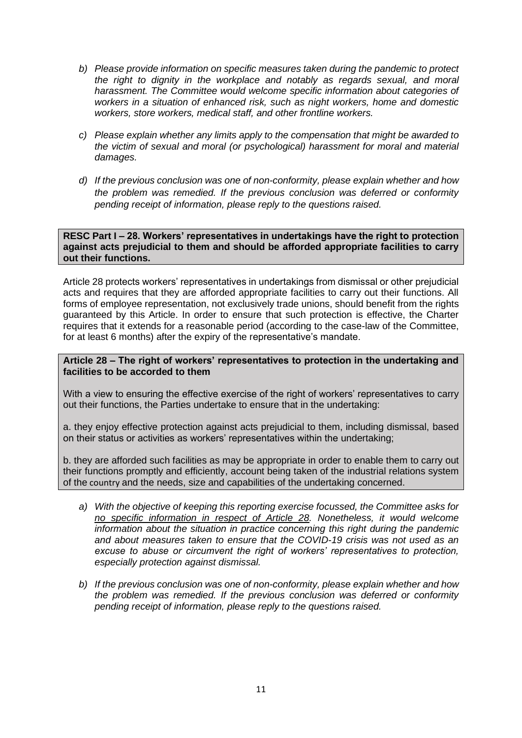- *b) Please provide information on specific measures taken during the pandemic to protect the right to dignity in the workplace and notably as regards sexual, and moral harassment. The Committee would welcome specific information about categories of workers in a situation of enhanced risk, such as night workers, home and domestic workers, store workers, medical staff, and other frontline workers.*
- *c) Please explain whether any limits apply to the compensation that might be awarded to the victim of sexual and moral (or psychological) harassment for moral and material damages.*
- *d) If the previous conclusion was one of non-conformity, please explain whether and how the problem was remedied. If the previous conclusion was deferred or conformity pending receipt of information, please reply to the questions raised.*

**RESC Part I – 28. Workers' representatives in undertakings have the right to protection against acts prejudicial to them and should be afforded appropriate facilities to carry out their functions.**

Article 28 protects workers' representatives in undertakings from dismissal or other prejudicial acts and requires that they are afforded appropriate facilities to carry out their functions. All forms of employee representation, not exclusively trade unions, should benefit from the rights guaranteed by this Article. In order to ensure that such protection is effective, the Charter requires that it extends for a reasonable period (according to the case-law of the Committee, for at least 6 months) after the expiry of the representative's mandate.

### **Article 28 – The right of workers' representatives to protection in the undertaking and facilities to be accorded to them**

With a view to ensuring the effective exercise of the right of workers' representatives to carry out their functions, the Parties undertake to ensure that in the undertaking:

a. they enjoy effective protection against acts prejudicial to them, including dismissal, based on their status or activities as workers' representatives within the undertaking;

b. they are afforded such facilities as may be appropriate in order to enable them to carry out their functions promptly and efficiently, account being taken of the industrial relations system of the country and the needs, size and capabilities of the undertaking concerned.

- *a) With the objective of keeping this reporting exercise focussed, the Committee asks for no specific information in respect of Article 28. Nonetheless, it would welcome information about the situation in practice concerning this right during the pandemic and about measures taken to ensure that the COVID-19 crisis was not used as an excuse to abuse or circumvent the right of workers' representatives to protection, especially protection against dismissal.*
- *b) If the previous conclusion was one of non-conformity, please explain whether and how the problem was remedied. If the previous conclusion was deferred or conformity pending receipt of information, please reply to the questions raised.*